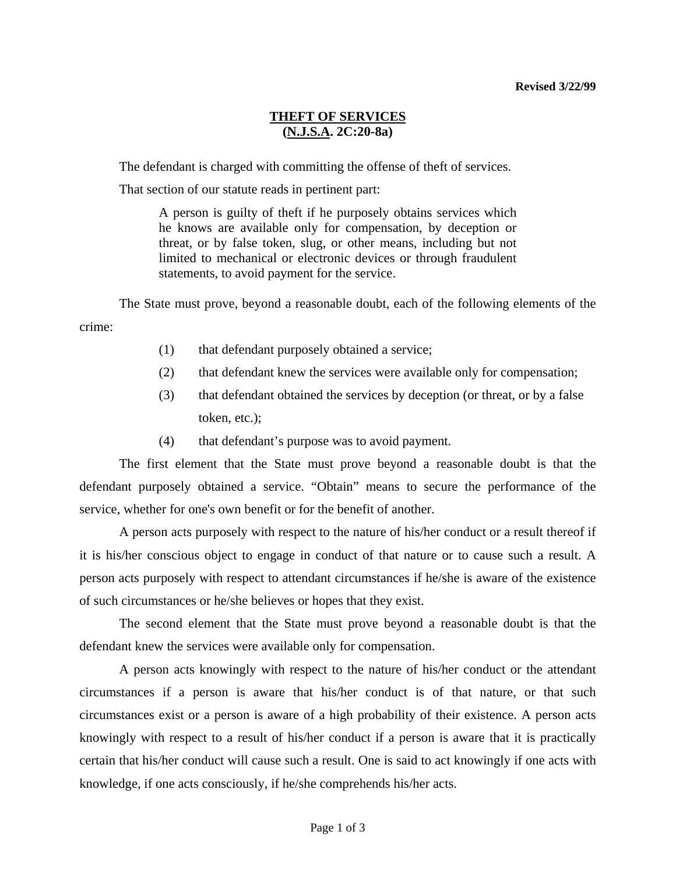### **THEFT OF SERVICES (N.J.S.A. 2C:20-8a)**

The defendant is charged with committing the offense of theft of services.

That section of our statute reads in pertinent part:

A person is guilty of theft if he purposely obtains services which he knows are available only for compensation, by deception or threat, or by false token, slug, or other means, including but not limited to mechanical or electronic devices or through fraudulent statements, to avoid payment for the service.

 The State must prove, beyond a reasonable doubt, each of the following elements of the crime:

- (1) that defendant purposely obtained a service;
- (2) that defendant knew the services were available only for compensation;
- (3) that defendant obtained the services by deception (or threat, or by a false token, etc.);
- (4) that defendant's purpose was to avoid payment.

 The first element that the State must prove beyond a reasonable doubt is that the defendant purposely obtained a service. "Obtain" means to secure the performance of the service, whether for one's own benefit or for the benefit of another.

 A person acts purposely with respect to the nature of his/her conduct or a result thereof if it is his/her conscious object to engage in conduct of that nature or to cause such a result. A person acts purposely with respect to attendant circumstances if he/she is aware of the existence of such circumstances or he/she believes or hopes that they exist.

 The second element that the State must prove beyond a reasonable doubt is that the defendant knew the services were available only for compensation.

 A person acts knowingly with respect to the nature of his/her conduct or the attendant circumstances if a person is aware that his/her conduct is of that nature, or that such circumstances exist or a person is aware of a high probability of their existence. A person acts knowingly with respect to a result of his/her conduct if a person is aware that it is practically certain that his/her conduct will cause such a result. One is said to act knowingly if one acts with knowledge, if one acts consciously, if he/she comprehends his/her acts.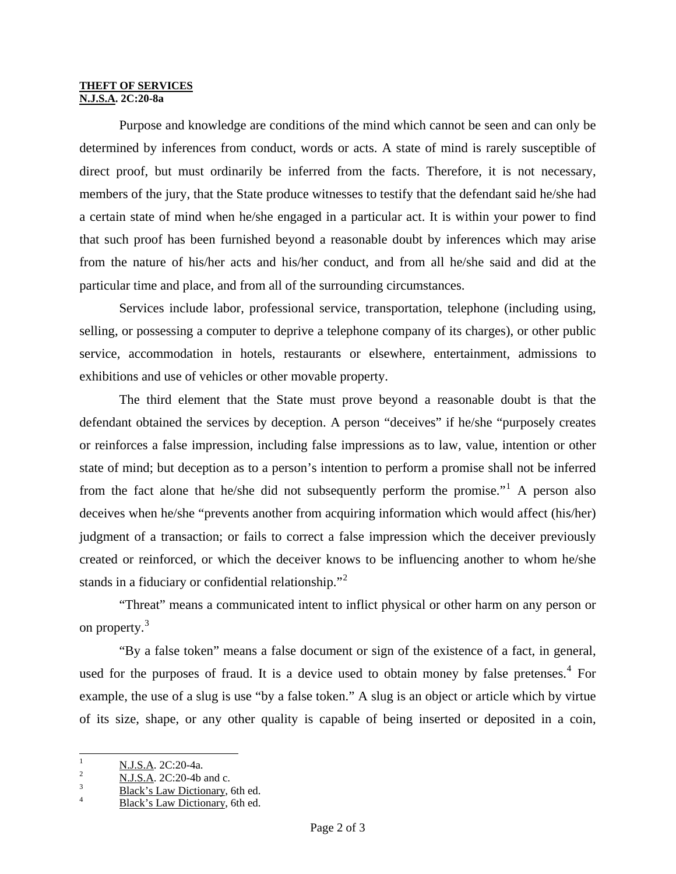#### **THEFT OF SERVICES N.J.S.A. 2C:20-8a**

 Purpose and knowledge are conditions of the mind which cannot be seen and can only be determined by inferences from conduct, words or acts. A state of mind is rarely susceptible of direct proof, but must ordinarily be inferred from the facts. Therefore, it is not necessary, members of the jury, that the State produce witnesses to testify that the defendant said he/she had a certain state of mind when he/she engaged in a particular act. It is within your power to find that such proof has been furnished beyond a reasonable doubt by inferences which may arise from the nature of his/her acts and his/her conduct, and from all he/she said and did at the particular time and place, and from all of the surrounding circumstances.

 Services include labor, professional service, transportation, telephone (including using, selling, or possessing a computer to deprive a telephone company of its charges), or other public service, accommodation in hotels, restaurants or elsewhere, entertainment, admissions to exhibitions and use of vehicles or other movable property.

 The third element that the State must prove beyond a reasonable doubt is that the defendant obtained the services by deception. A person "deceives" if he/she "purposely creates or reinforces a false impression, including false impressions as to law, value, intention or other state of mind; but deception as to a person's intention to perform a promise shall not be inferred from the fact alone that he/she did not subsequently perform the promise."<sup>[1](#page-1-0)</sup> A person also deceives when he/she "prevents another from acquiring information which would affect (his/her) judgment of a transaction; or fails to correct a false impression which the deceiver previously created or reinforced, or which the deceiver knows to be influencing another to whom he/she stands in a fiduciary or confidential relationship."<sup>[2](#page-1-1)</sup>

 "Threat" means a communicated intent to inflict physical or other harm on any person or on property.<sup>[3](#page-1-2)</sup>

 "By a false token" means a false document or sign of the existence of a fact, in general, used for the purposes of fraud. It is a device used to obtain money by false pretenses. $4$  For example, the use of a slug is use "by a false token." A slug is an object or article which by virtue of its size, shape, or any other quality is capable of being inserted or deposited in a coin,

 $\frac{1}{1}$  $\frac{N. J.S.A.}{N. J.S.A.}$  2C:20-4a.

<span id="page-1-1"></span><span id="page-1-0"></span> $\frac{2}{3}$  N.J.S.A. 2C:20-4b and c.

<span id="page-1-3"></span><span id="page-1-2"></span> $\frac{3}{4}$  Black's Law Dictionary, 6th ed.

Black's Law Dictionary, 6th ed.